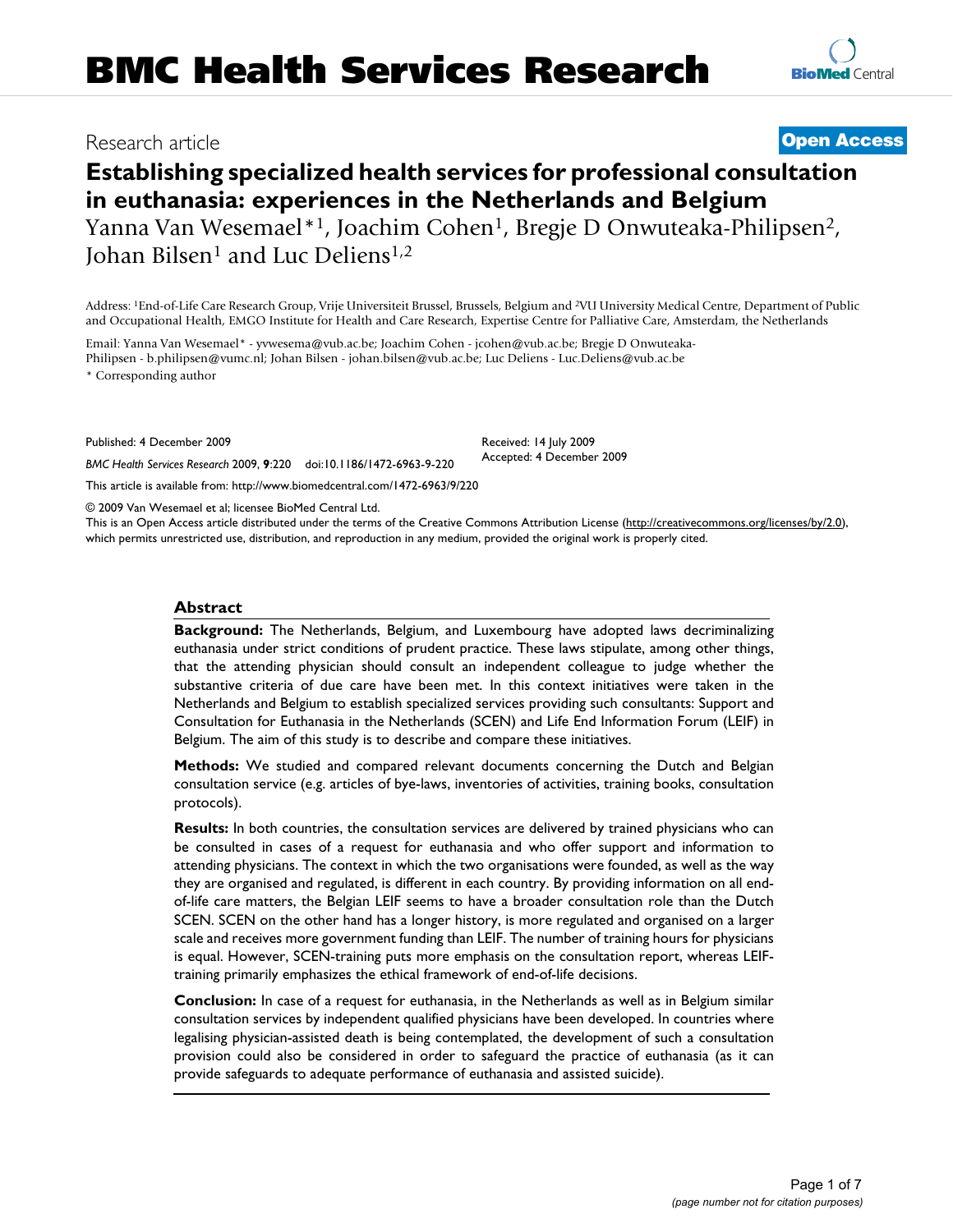# Research article **[Open Access](http://www.biomedcentral.com/info/about/charter/)**

# **Establishing specialized health services for professional consultation in euthanasia: experiences in the Netherlands and Belgium** Yanna Van Wesemael\*<sup>1</sup>, Joachim Cohen<sup>1</sup>, Bregje D Onwuteaka-Philipsen<sup>2</sup>,

Johan Bilsen<sup>1</sup> and Luc Deliens<sup>1,2</sup>

Address: 1End-of-Life Care Research Group, Vrije Universiteit Brussel, Brussels, Belgium and 2VU University Medical Centre, Department of Public and Occupational Health, EMGO Institute for Health and Care Research, Expertise Centre for Palliative Care, Amsterdam, the Netherlands

Email: Yanna Van Wesemael\* - yvwesema@vub.ac.be; Joachim Cohen - jcohen@vub.ac.be; Bregje D Onwuteaka-Philipsen - b.philipsen@vumc.nl; Johan Bilsen - johan.bilsen@vub.ac.be; Luc Deliens - Luc.Deliens@vub.ac.be

\* Corresponding author

Published: 4 December 2009

*BMC Health Services Research* 2009, **9**:220 doi:10.1186/1472-6963-9-220

[This article is available from: http://www.biomedcentral.com/1472-6963/9/220](http://www.biomedcentral.com/1472-6963/9/220)

© 2009 Van Wesemael et al; licensee BioMed Central Ltd.

This is an Open Access article distributed under the terms of the Creative Commons Attribution License [\(http://creativecommons.org/licenses/by/2.0\)](http://creativecommons.org/licenses/by/2.0), which permits unrestricted use, distribution, and reproduction in any medium, provided the original work is properly cited.

## **Abstract**

**Background:** The Netherlands, Belgium, and Luxembourg have adopted laws decriminalizing euthanasia under strict conditions of prudent practice. These laws stipulate, among other things, that the attending physician should consult an independent colleague to judge whether the substantive criteria of due care have been met. In this context initiatives were taken in the Netherlands and Belgium to establish specialized services providing such consultants: Support and Consultation for Euthanasia in the Netherlands (SCEN) and Life End Information Forum (LEIF) in Belgium. The aim of this study is to describe and compare these initiatives.

**Methods:** We studied and compared relevant documents concerning the Dutch and Belgian consultation service (e.g. articles of bye-laws, inventories of activities, training books, consultation protocols).

**Results:** In both countries, the consultation services are delivered by trained physicians who can be consulted in cases of a request for euthanasia and who offer support and information to attending physicians. The context in which the two organisations were founded, as well as the way they are organised and regulated, is different in each country. By providing information on all endof-life care matters, the Belgian LEIF seems to have a broader consultation role than the Dutch SCEN. SCEN on the other hand has a longer history, is more regulated and organised on a larger scale and receives more government funding than LEIF. The number of training hours for physicians is equal. However, SCEN-training puts more emphasis on the consultation report, whereas LEIFtraining primarily emphasizes the ethical framework of end-of-life decisions.

**Conclusion:** In case of a request for euthanasia, in the Netherlands as well as in Belgium similar consultation services by independent qualified physicians have been developed. In countries where legalising physician-assisted death is being contemplated, the development of such a consultation provision could also be considered in order to safeguard the practice of euthanasia (as it can provide safeguards to adequate performance of euthanasia and assisted suicide).

Page 1 of 7

*(page number not for citation purposes)*



Received: 14 July 2009 Accepted: 4 December 2009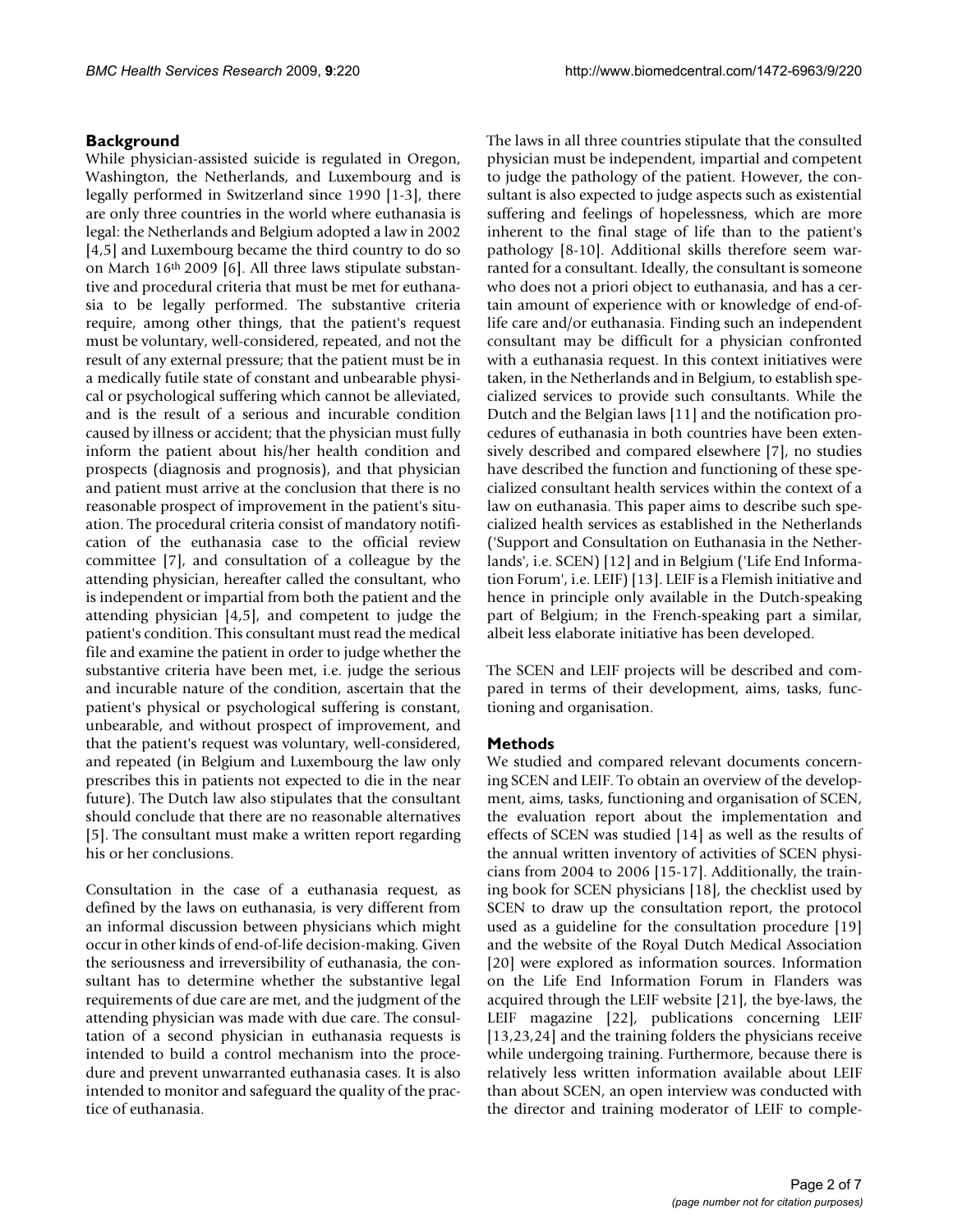## **Background**

While physician-assisted suicide is regulated in Oregon, Washington, the Netherlands, and Luxembourg and is legally performed in Switzerland since 1990 [[1-](#page-6-0)[3](#page-6-1)], there are only three countries in the world where euthanasia is legal: the Netherlands and Belgium adopted a law in 2002 [[4](#page-6-2)[,5\]](#page-6-3) and Luxembourg became the third country to do so on March 16th 2009 [\[6\]](#page-6-4). All three laws stipulate substantive and procedural criteria that must be met for euthanasia to be legally performed. The substantive criteria require, among other things, that the patient's request must be voluntary, well-considered, repeated, and not the result of any external pressure; that the patient must be in a medically futile state of constant and unbearable physical or psychological suffering which cannot be alleviated, and is the result of a serious and incurable condition caused by illness or accident; that the physician must fully inform the patient about his/her health condition and prospects (diagnosis and prognosis), and that physician and patient must arrive at the conclusion that there is no reasonable prospect of improvement in the patient's situation. The procedural criteria consist of mandatory notification of the euthanasia case to the official review committee [\[7\]](#page-6-5), and consultation of a colleague by the attending physician, hereafter called the consultant, who is independent or impartial from both the patient and the attending physician [[4](#page-6-2),[5](#page-6-3)], and competent to judge the patient's condition. This consultant must read the medical file and examine the patient in order to judge whether the substantive criteria have been met, i.e. judge the serious and incurable nature of the condition, ascertain that the patient's physical or psychological suffering is constant, unbearable, and without prospect of improvement, and that the patient's request was voluntary, well-considered, and repeated (in Belgium and Luxembourg the law only prescribes this in patients not expected to die in the near future). The Dutch law also stipulates that the consultant should conclude that there are no reasonable alternatives [[5\]](#page-6-3). The consultant must make a written report regarding his or her conclusions.

Consultation in the case of a euthanasia request, as defined by the laws on euthanasia, is very different from an informal discussion between physicians which might occur in other kinds of end-of-life decision-making. Given the seriousness and irreversibility of euthanasia, the consultant has to determine whether the substantive legal requirements of due care are met, and the judgment of the attending physician was made with due care. The consultation of a second physician in euthanasia requests is intended to build a control mechanism into the procedure and prevent unwarranted euthanasia cases. It is also intended to monitor and safeguard the quality of the practice of euthanasia.

The laws in all three countries stipulate that the consulted physician must be independent, impartial and competent to judge the pathology of the patient. However, the consultant is also expected to judge aspects such as existential suffering and feelings of hopelessness, which are more inherent to the final stage of life than to the patient's pathology [\[8-](#page-6-6)[10\]](#page-6-7). Additional skills therefore seem warranted for a consultant. Ideally, the consultant is someone who does not a priori object to euthanasia, and has a certain amount of experience with or knowledge of end-oflife care and/or euthanasia. Finding such an independent consultant may be difficult for a physician confronted with a euthanasia request. In this context initiatives were taken, in the Netherlands and in Belgium, to establish specialized services to provide such consultants. While the Dutch and the Belgian laws [[11\]](#page-6-8) and the notification procedures of euthanasia in both countries have been extensively described and compared elsewhere [[7](#page-6-5)], no studies have described the function and functioning of these specialized consultant health services within the context of a law on euthanasia. This paper aims to describe such specialized health services as established in the Netherlands ('Support and Consultation on Euthanasia in the Netherlands', i.e. SCEN) [\[12](#page-6-9)] and in Belgium ('Life End Information Forum', i.e. LEIF) [\[13](#page-6-10)]. LEIF is a Flemish initiative and hence in principle only available in the Dutch-speaking part of Belgium; in the French-speaking part a similar, albeit less elaborate initiative has been developed.

The SCEN and LEIF projects will be described and compared in terms of their development, aims, tasks, functioning and organisation.

## **Methods**

We studied and compared relevant documents concerning SCEN and LEIF. To obtain an overview of the development, aims, tasks, functioning and organisation of SCEN, the evaluation report about the implementation and effects of SCEN was studied [[14\]](#page-6-11) as well as the results of the annual written inventory of activities of SCEN physicians from 2004 to 2006 [[15-](#page-6-12)[17\]](#page-6-13). Additionally, the training book for SCEN physicians [[18](#page-6-14)], the checklist used by SCEN to draw up the consultation report, the protocol used as a guideline for the consultation procedure [[19\]](#page-6-15) and the website of the Royal Dutch Medical Association [[20](#page-6-16)] were explored as information sources. Information on the Life End Information Forum in Flanders was acquired through the LEIF website [[21](#page-6-17)], the bye-laws, the LEIF magazine [\[22\]](#page-6-18), publications concerning LEIF [[13](#page-6-10),[23,](#page-6-19)[24](#page-6-20)] and the training folders the physicians receive while undergoing training. Furthermore, because there is relatively less written information available about LEIF than about SCEN, an open interview was conducted with the director and training moderator of LEIF to comple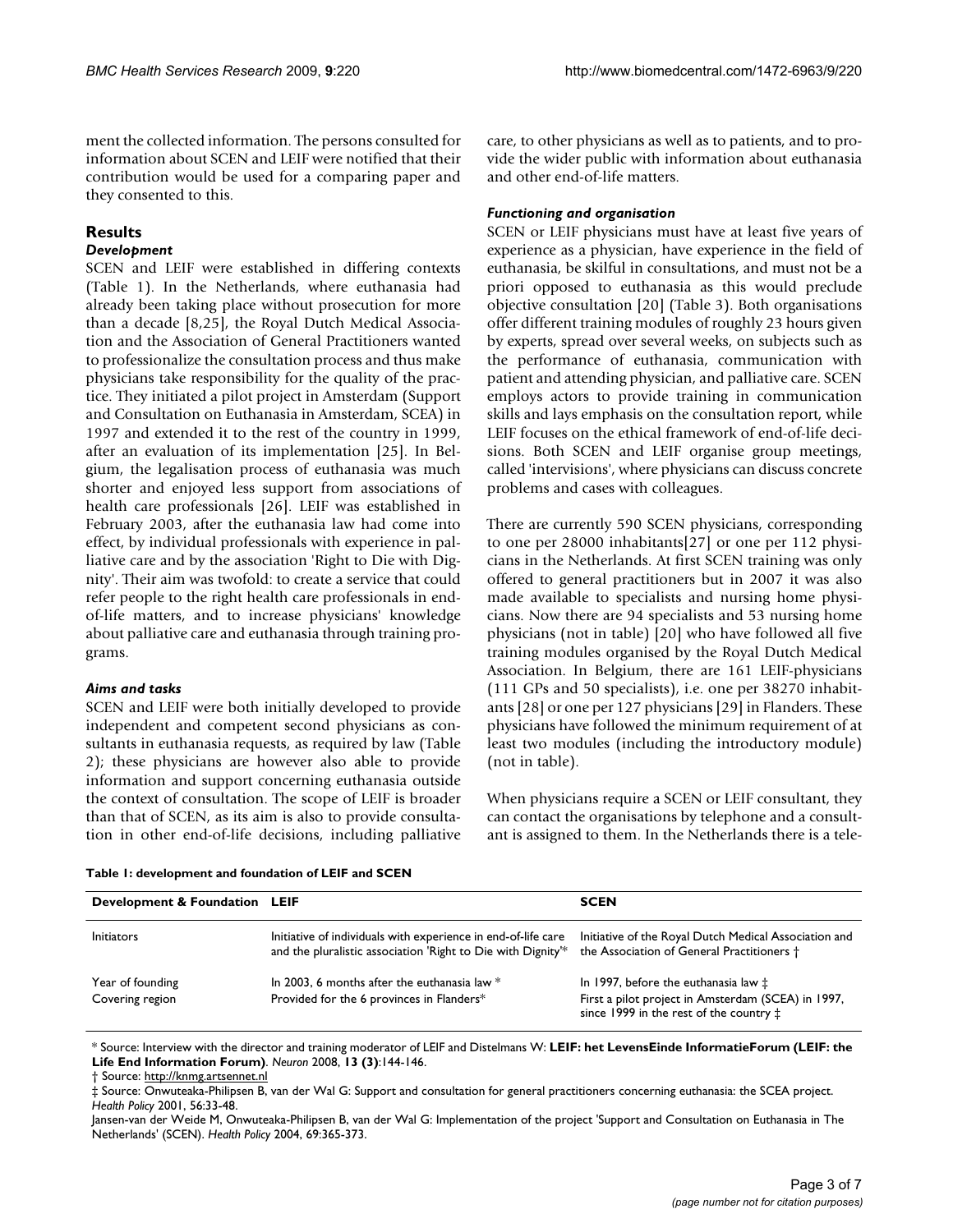ment the collected information. The persons consulted for information about SCEN and LEIF were notified that their contribution would be used for a comparing paper and they consented to this.

## **Results**

## *Development*

SCEN and LEIF were established in differing contexts (Table [1\)](#page-2-0). In the Netherlands, where euthanasia had already been taking place without prosecution for more than a decade [\[8](#page-6-6)[,25](#page-6-21)], the Royal Dutch Medical Association and the Association of General Practitioners wanted to professionalize the consultation process and thus make physicians take responsibility for the quality of the practice. They initiated a pilot project in Amsterdam (Support and Consultation on Euthanasia in Amsterdam, SCEA) in 1997 and extended it to the rest of the country in 1999, after an evaluation of its implementation [\[25](#page-6-21)]. In Belgium, the legalisation process of euthanasia was much shorter and enjoyed less support from associations of health care professionals [\[26\]](#page-6-22). LEIF was established in February 2003, after the euthanasia law had come into effect, by individual professionals with experience in palliative care and by the association 'Right to Die with Dignity'. Their aim was twofold: to create a service that could refer people to the right health care professionals in endof-life matters, and to increase physicians' knowledge about palliative care and euthanasia through training programs.

## *Aims and tasks*

SCEN and LEIF were both initially developed to provide independent and competent second physicians as consultants in euthanasia requests, as required by law (Table [2\)](#page-3-0); these physicians are however also able to provide information and support concerning euthanasia outside the context of consultation. The scope of LEIF is broader than that of SCEN, as its aim is also to provide consultation in other end-of-life decisions, including palliative care, to other physicians as well as to patients, and to provide the wider public with information about euthanasia and other end-of-life matters.

## *Functioning and organisation*

SCEN or LEIF physicians must have at least five years of experience as a physician, have experience in the field of euthanasia, be skilful in consultations, and must not be a priori opposed to euthanasia as this would preclude objective consultation [[20\]](#page-6-16) (Table [3](#page-4-0)). Both organisations offer different training modules of roughly 23 hours given by experts, spread over several weeks, on subjects such as the performance of euthanasia, communication with patient and attending physician, and palliative care. SCEN employs actors to provide training in communication skills and lays emphasis on the consultation report, while LEIF focuses on the ethical framework of end-of-life decisions. Both SCEN and LEIF organise group meetings, called 'intervisions', where physicians can discuss concrete problems and cases with colleagues.

There are currently 590 SCEN physicians, corresponding to one per 28000 inhabitants[[27\]](#page-6-23) or one per 112 physicians in the Netherlands. At first SCEN training was only offered to general practitioners but in 2007 it was also made available to specialists and nursing home physicians. Now there are 94 specialists and 53 nursing home physicians (not in table) [[20\]](#page-6-16) who have followed all five training modules organised by the Royal Dutch Medical Association. In Belgium, there are 161 LEIF-physicians (111 GPs and 50 specialists), i.e. one per 38270 inhabitants [[28\]](#page-6-24) or one per 127 physicians [[29](#page-6-25)] in Flanders. These physicians have followed the minimum requirement of at least two modules (including the introductory module) (not in table).

When physicians require a SCEN or LEIF consultant, they can contact the organisations by telephone and a consultant is assigned to them. In the Netherlands there is a tele-

<span id="page-2-0"></span>

|  | Table 1: development and foundation of LEIF and SCEN |  |
|--|------------------------------------------------------|--|
|  |                                                      |  |

| Development & Foundation LEIF       |                                                                                                                               | <b>SCEN</b>                                                                                                                                             |
|-------------------------------------|-------------------------------------------------------------------------------------------------------------------------------|---------------------------------------------------------------------------------------------------------------------------------------------------------|
| <b>Initiators</b>                   | Initiative of individuals with experience in end-of-life care<br>and the pluralistic association 'Right to Die with Dignity'* | Initiative of the Royal Dutch Medical Association and<br>the Association of General Practitioners +                                                     |
| Year of founding<br>Covering region | In 2003, 6 months after the euthanasia law *<br>Provided for the 6 provinces in Flanders*                                     | In 1997, before the euthanasia law $\ddagger$<br>First a pilot project in Amsterdam (SCEA) in 1997,<br>since 1999 in the rest of the country $\ddagger$ |

\* Source: Interview with the director and training moderator of LEIF and Distelmans W: **LEIF: het LevensEinde InformatieForum (LEIF: the Life End Information Forum)**. *Neuron* 2008, **13 (3)**:144-146.

<sup>†</sup> Source: <http://knmg.artsennet.nl>

<sup>‡</sup> Source: Onwuteaka-Philipsen B, van der Wal G: Support and consultation for general practitioners concerning euthanasia: the SCEA project. *Health Policy* 2001, 56:33-48.

Jansen-van der Weide M, Onwuteaka-Philipsen B, van der Wal G: Implementation of the project 'Support and Consultation on Euthanasia in The Netherlands' (SCEN). *Health Policy* 2004, 69:365-373.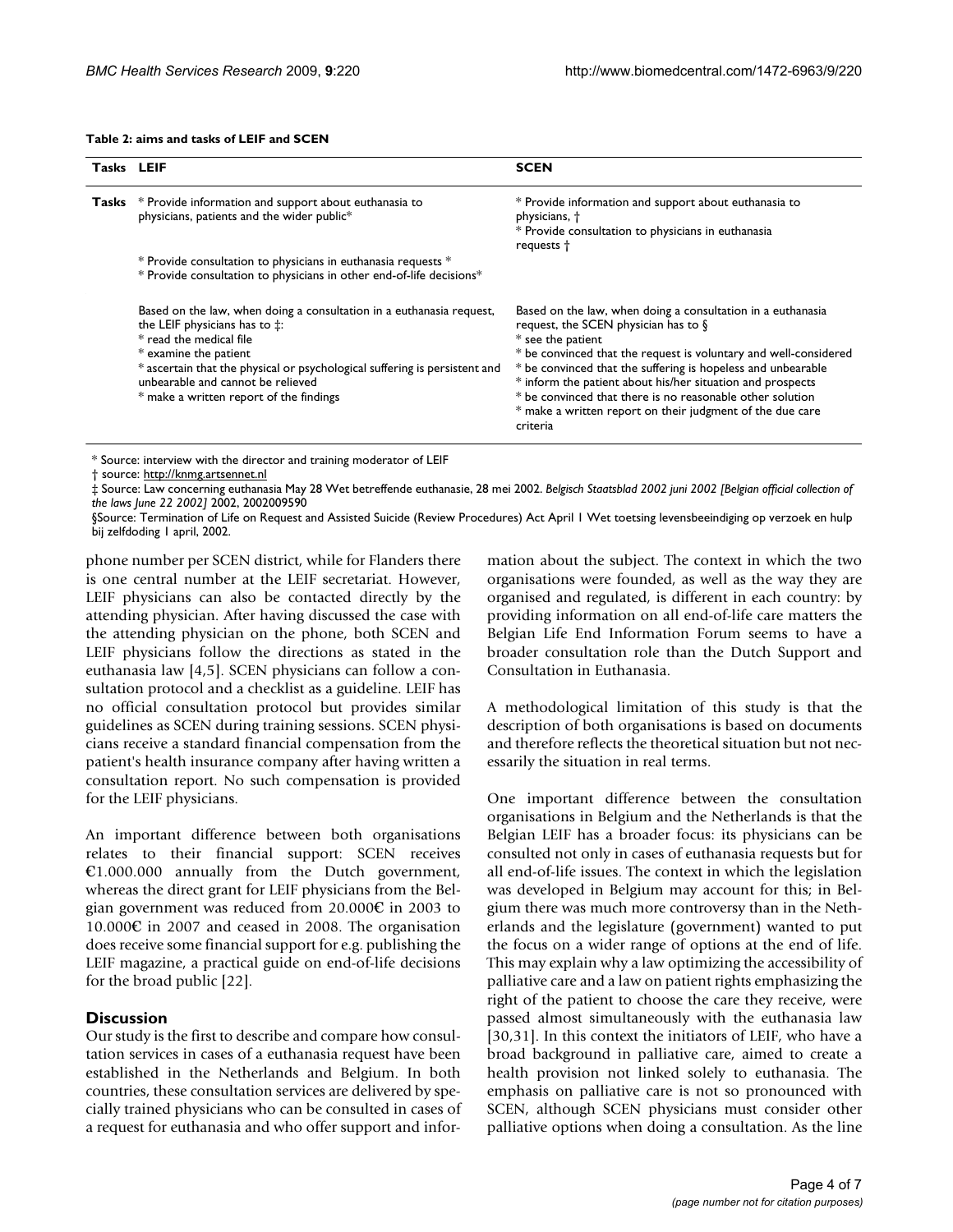#### <span id="page-3-0"></span>**Table 2: aims and tasks of LEIF and SCEN**

| Tasks LEIF |                                                                                                                                            | <b>SCEN</b>                                                                                                                                |  |
|------------|--------------------------------------------------------------------------------------------------------------------------------------------|--------------------------------------------------------------------------------------------------------------------------------------------|--|
| Tasks      | * Provide information and support about euthanasia to<br>physicians, patients and the wider public*                                        | * Provide information and support about euthanasia to<br>physicians, †<br>* Provide consultation to physicians in euthanasia<br>requests + |  |
|            | * Provide consultation to physicians in euthanasia requests *                                                                              |                                                                                                                                            |  |
|            | * Provide consultation to physicians in other end-of-life decisions*                                                                       |                                                                                                                                            |  |
|            | Based on the law, when doing a consultation in a euthanasia request,<br>the LEIF physicians has to $\ddagger$ :<br>* read the medical file | Based on the law, when doing a consultation in a euthanasia<br>request, the SCEN physician has to $\S$<br>* see the patient                |  |
|            | * examine the patient                                                                                                                      | * be convinced that the request is voluntary and well-considered                                                                           |  |
|            | * ascertain that the physical or psychological suffering is persistent and<br>unbearable and cannot be relieved                            | * be convinced that the suffering is hopeless and unbearable<br>* inform the patient about his/her situation and prospects                 |  |
|            | * make a written report of the findings                                                                                                    | * be convinced that there is no reasonable other solution<br>* make a written report on their judgment of the due care<br>criteria         |  |

\* Source: interview with the director and training moderator of LEIF

† source:<http://knmg.artsennet.nl>

‡ Source: Law concerning euthanasia May 28 Wet betreffende euthanasie, 28 mei 2002. *Belgisch Staatsblad 2002 juni 2002 [Belgian official collection of the laws June 22 2002]* 2002, 2002009590

§Source: Termination of Life on Request and Assisted Suicide (Review Procedures) Act April 1 Wet toetsing levensbeeindiging op verzoek en hulp bij zelfdoding 1 april, 2002.

phone number per SCEN district, while for Flanders there is one central number at the LEIF secretariat. However, LEIF physicians can also be contacted directly by the attending physician. After having discussed the case with the attending physician on the phone, both SCEN and LEIF physicians follow the directions as stated in the euthanasia law [[4](#page-6-2),[5](#page-6-3)]. SCEN physicians can follow a consultation protocol and a checklist as a guideline. LEIF has no official consultation protocol but provides similar guidelines as SCEN during training sessions. SCEN physicians receive a standard financial compensation from the patient's health insurance company after having written a consultation report. No such compensation is provided for the LEIF physicians.

An important difference between both organisations relates to their financial support: SCEN receives €1.000.000 annually from the Dutch government, whereas the direct grant for LEIF physicians from the Belgian government was reduced from 20.000€ in 2003 to 10.000€ in 2007 and ceased in 2008. The organisation does receive some financial support for e.g. publishing the LEIF magazine, a practical guide on end-of-life decisions for the broad public [[22](#page-6-18)].

## **Discussion**

Our study is the first to describe and compare how consultation services in cases of a euthanasia request have been established in the Netherlands and Belgium. In both countries, these consultation services are delivered by specially trained physicians who can be consulted in cases of a request for euthanasia and who offer support and information about the subject. The context in which the two organisations were founded, as well as the way they are organised and regulated, is different in each country: by providing information on all end-of-life care matters the Belgian Life End Information Forum seems to have a broader consultation role than the Dutch Support and Consultation in Euthanasia.

A methodological limitation of this study is that the description of both organisations is based on documents and therefore reflects the theoretical situation but not necessarily the situation in real terms.

One important difference between the consultation organisations in Belgium and the Netherlands is that the Belgian LEIF has a broader focus: its physicians can be consulted not only in cases of euthanasia requests but for all end-of-life issues. The context in which the legislation was developed in Belgium may account for this; in Belgium there was much more controversy than in the Netherlands and the legislature (government) wanted to put the focus on a wider range of options at the end of life. This may explain why a law optimizing the accessibility of palliative care and a law on patient rights emphasizing the right of the patient to choose the care they receive, were passed almost simultaneously with the euthanasia law [[30](#page-6-26),[31\]](#page-6-27). In this context the initiators of LEIF, who have a broad background in palliative care, aimed to create a health provision not linked solely to euthanasia. The emphasis on palliative care is not so pronounced with SCEN, although SCEN physicians must consider other palliative options when doing a consultation. As the line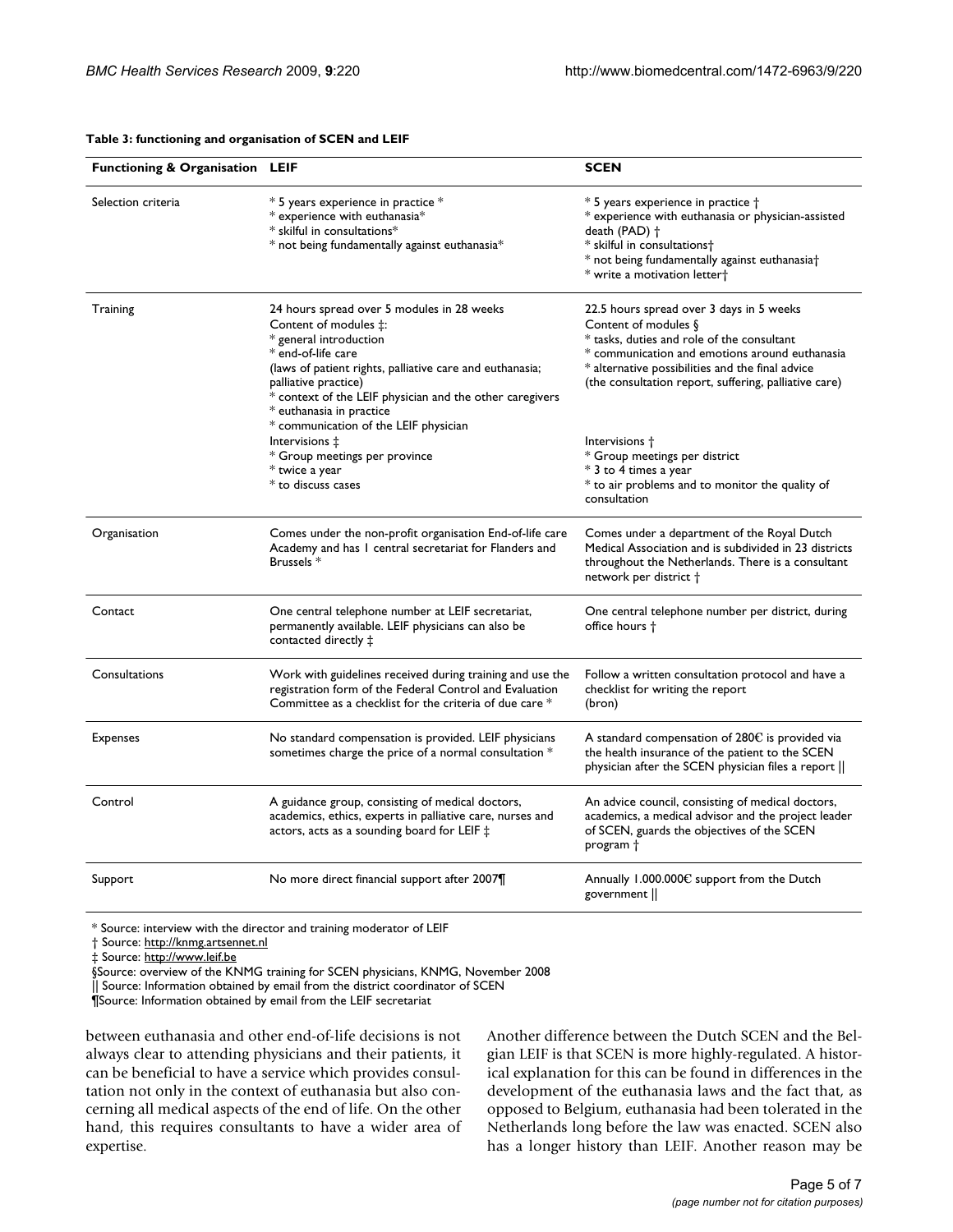#### <span id="page-4-0"></span>**Table 3: functioning and organisation of SCEN and LEIF**

| Functioning & Organisation LEIF                                                                                                                                                                  |                                                                                                                                                                                                                                                                                                                                                    | <b>SCEN</b>                                                                                                                                                                                                                                                                   |  |
|--------------------------------------------------------------------------------------------------------------------------------------------------------------------------------------------------|----------------------------------------------------------------------------------------------------------------------------------------------------------------------------------------------------------------------------------------------------------------------------------------------------------------------------------------------------|-------------------------------------------------------------------------------------------------------------------------------------------------------------------------------------------------------------------------------------------------------------------------------|--|
| Selection criteria                                                                                                                                                                               | * 5 years experience in practice *<br>$*$ experience with euthanasia $*$<br>* skilful in consultations*<br>* not being fundamentally against euthanasia*                                                                                                                                                                                           | * 5 years experience in practice $\dagger$<br>* experience with euthanasia or physician-assisted<br>death (PAD) +<br>* skilful in consultations†<br>* not being fundamentally against euthanasia <sup>+</sup><br>* write a motivation letter <sup>+</sup>                     |  |
| Training                                                                                                                                                                                         | 24 hours spread over 5 modules in 28 weeks<br>Content of modules $\ddagger$ :<br>* general introduction<br>* end-of-life care<br>(laws of patient rights, palliative care and euthanasia;<br>palliative practice)<br>* context of the LEIF physician and the other caregivers<br>* euthanasia in practice<br>* communication of the LEIF physician | 22.5 hours spread over 3 days in 5 weeks<br>Content of modules §<br>* tasks, duties and role of the consultant<br>* communication and emotions around euthanasia<br>* alternative possibilities and the final advice<br>(the consultation report, suffering, palliative care) |  |
|                                                                                                                                                                                                  | Intervisions ‡<br>* Group meetings per province<br>* twice a year<br>* to discuss cases                                                                                                                                                                                                                                                            | Intervisions +<br>* Group meetings per district<br>* 3 to 4 times a year<br>* to air problems and to monitor the quality of<br>consultation                                                                                                                                   |  |
| Organisation                                                                                                                                                                                     | Comes under the non-profit organisation End-of-life care<br>Academy and has I central secretariat for Flanders and<br>Brussels *                                                                                                                                                                                                                   | Comes under a department of the Royal Dutch<br>Medical Association and is subdivided in 23 districts<br>throughout the Netherlands. There is a consultant<br>network per district +                                                                                           |  |
| Contact                                                                                                                                                                                          | One central telephone number at LEIF secretariat,<br>permanently available. LEIF physicians can also be<br>contacted directly $\ddagger$                                                                                                                                                                                                           | One central telephone number per district, during<br>office hours t                                                                                                                                                                                                           |  |
| Consultations<br>Work with guidelines received during training and use the<br>registration form of the Federal Control and Evaluation<br>Committee as a checklist for the criteria of due care * |                                                                                                                                                                                                                                                                                                                                                    | Follow a written consultation protocol and have a<br>checklist for writing the report<br>(bron)                                                                                                                                                                               |  |
| <b>Expenses</b><br>No standard compensation is provided. LEIF physicians<br>sometimes charge the price of a normal consultation *                                                                |                                                                                                                                                                                                                                                                                                                                                    | A standard compensation of $280\epsilon$ is provided via<br>the health insurance of the patient to the SCEN<br>physician after the SCEN physician files a report                                                                                                              |  |
| Control                                                                                                                                                                                          | A guidance group, consisting of medical doctors,<br>academics, ethics, experts in palliative care, nurses and<br>actors, acts as a sounding board for LEIF #                                                                                                                                                                                       | An advice council, consisting of medical doctors,<br>academics, a medical advisor and the project leader<br>of SCEN, guards the objectives of the SCEN<br>program †                                                                                                           |  |
| Support                                                                                                                                                                                          | No more direct financial support after 2007¶                                                                                                                                                                                                                                                                                                       | Annually 1.000.000€ support from the Dutch<br>government                                                                                                                                                                                                                      |  |

\* Source: interview with the director and training moderator of LEIF

† Source: <http://knmg.artsennet.nl>

‡ Source: <http://www.leif.be>

§Source: overview of the KNMG training for SCEN physicians, KNMG, November 2008

|| Source: Information obtained by email from the district coordinator of SCEN

¶Source: Information obtained by email from the LEIF secretariat

between euthanasia and other end-of-life decisions is not always clear to attending physicians and their patients, it can be beneficial to have a service which provides consultation not only in the context of euthanasia but also concerning all medical aspects of the end of life. On the other hand, this requires consultants to have a wider area of expertise.

Another difference between the Dutch SCEN and the Belgian LEIF is that SCEN is more highly-regulated. A historical explanation for this can be found in differences in the development of the euthanasia laws and the fact that, as opposed to Belgium, euthanasia had been tolerated in the Netherlands long before the law was enacted. SCEN also has a longer history than LEIF. Another reason may be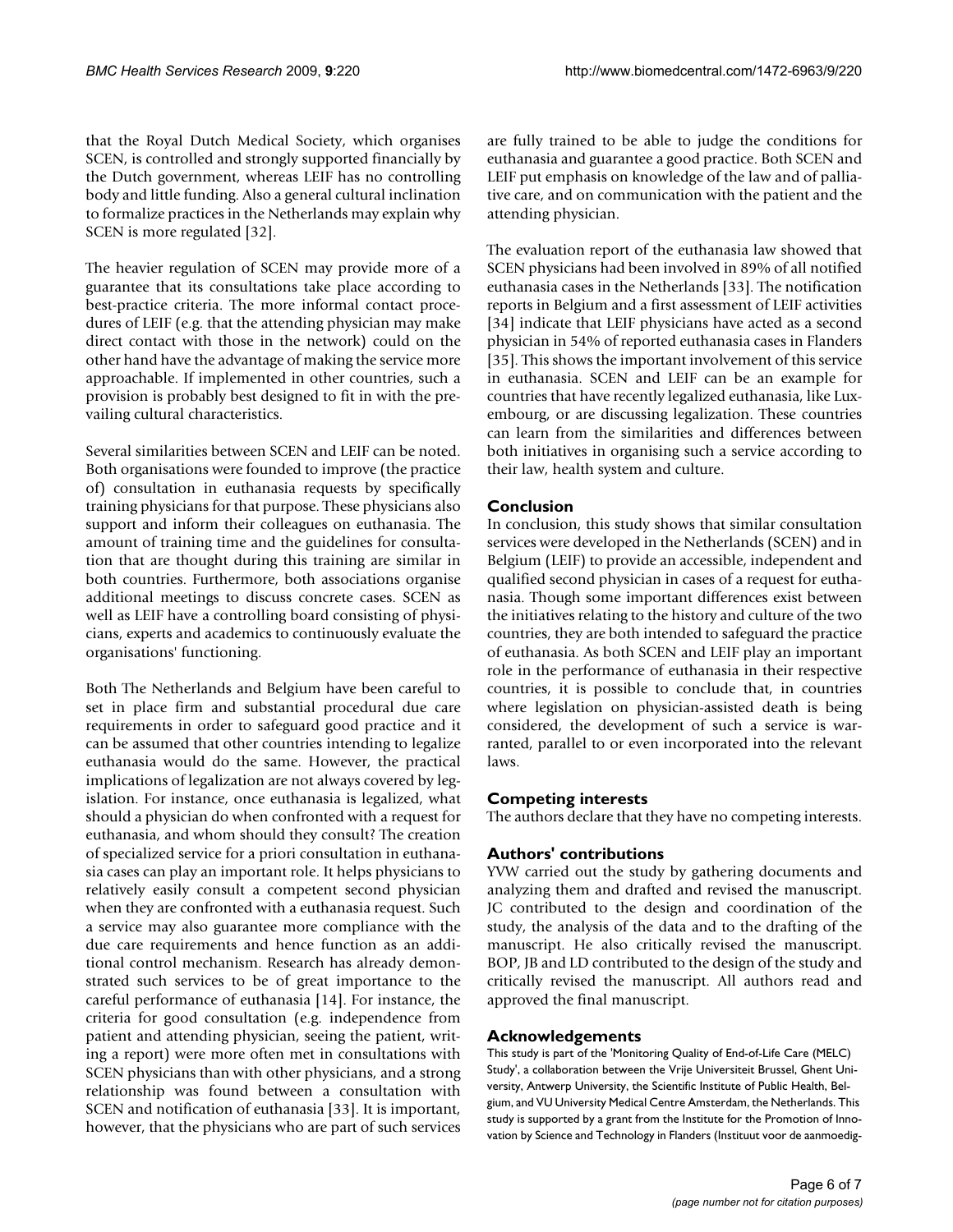that the Royal Dutch Medical Society, which organises SCEN, is controlled and strongly supported financially by the Dutch government, whereas LEIF has no controlling body and little funding. Also a general cultural inclination to formalize practices in the Netherlands may explain why SCEN is more regulated [[32\]](#page-6-28).

The heavier regulation of SCEN may provide more of a guarantee that its consultations take place according to best-practice criteria. The more informal contact procedures of LEIF (e.g. that the attending physician may make direct contact with those in the network) could on the other hand have the advantage of making the service more approachable. If implemented in other countries, such a provision is probably best designed to fit in with the prevailing cultural characteristics.

Several similarities between SCEN and LEIF can be noted. Both organisations were founded to improve (the practice of) consultation in euthanasia requests by specifically training physicians for that purpose. These physicians also support and inform their colleagues on euthanasia. The amount of training time and the guidelines for consultation that are thought during this training are similar in both countries. Furthermore, both associations organise additional meetings to discuss concrete cases. SCEN as well as LEIF have a controlling board consisting of physicians, experts and academics to continuously evaluate the organisations' functioning.

Both The Netherlands and Belgium have been careful to set in place firm and substantial procedural due care requirements in order to safeguard good practice and it can be assumed that other countries intending to legalize euthanasia would do the same. However, the practical implications of legalization are not always covered by legislation. For instance, once euthanasia is legalized, what should a physician do when confronted with a request for euthanasia, and whom should they consult? The creation of specialized service for a priori consultation in euthanasia cases can play an important role. It helps physicians to relatively easily consult a competent second physician when they are confronted with a euthanasia request. Such a service may also guarantee more compliance with the due care requirements and hence function as an additional control mechanism. Research has already demonstrated such services to be of great importance to the careful performance of euthanasia [\[14\]](#page-6-11). For instance, the criteria for good consultation (e.g. independence from patient and attending physician, seeing the patient, writing a report) were more often met in consultations with SCEN physicians than with other physicians, and a strong relationship was found between a consultation with SCEN and notification of euthanasia [\[33\]](#page-6-29). It is important, however, that the physicians who are part of such services

are fully trained to be able to judge the conditions for euthanasia and guarantee a good practice. Both SCEN and LEIF put emphasis on knowledge of the law and of palliative care, and on communication with the patient and the attending physician.

The evaluation report of the euthanasia law showed that SCEN physicians had been involved in 89% of all notified euthanasia cases in the Netherlands [[33\]](#page-6-29). The notification reports in Belgium and a first assessment of LEIF activities [[34](#page-6-30)] indicate that LEIF physicians have acted as a second physician in 54% of reported euthanasia cases in Flanders [[35](#page-6-31)]. This shows the important involvement of this service in euthanasia. SCEN and LEIF can be an example for countries that have recently legalized euthanasia, like Luxembourg, or are discussing legalization. These countries can learn from the similarities and differences between both initiatives in organising such a service according to their law, health system and culture.

## **Conclusion**

In conclusion, this study shows that similar consultation services were developed in the Netherlands (SCEN) and in Belgium (LEIF) to provide an accessible, independent and qualified second physician in cases of a request for euthanasia. Though some important differences exist between the initiatives relating to the history and culture of the two countries, they are both intended to safeguard the practice of euthanasia. As both SCEN and LEIF play an important role in the performance of euthanasia in their respective countries, it is possible to conclude that, in countries where legislation on physician-assisted death is being considered, the development of such a service is warranted, parallel to or even incorporated into the relevant laws.

## **Competing interests**

The authors declare that they have no competing interests.

## **Authors' contributions**

YVW carried out the study by gathering documents and analyzing them and drafted and revised the manuscript. JC contributed to the design and coordination of the study, the analysis of the data and to the drafting of the manuscript. He also critically revised the manuscript. BOP, JB and LD contributed to the design of the study and critically revised the manuscript. All authors read and approved the final manuscript.

## **Acknowledgements**

This study is part of the 'Monitoring Quality of End-of-Life Care (MELC) Study', a collaboration between the Vrije Universiteit Brussel, Ghent University, Antwerp University, the Scientific Institute of Public Health, Belgium, and VU University Medical Centre Amsterdam, the Netherlands. This study is supported by a grant from the Institute for the Promotion of Innovation by Science and Technology in Flanders (Instituut voor de aanmoedig